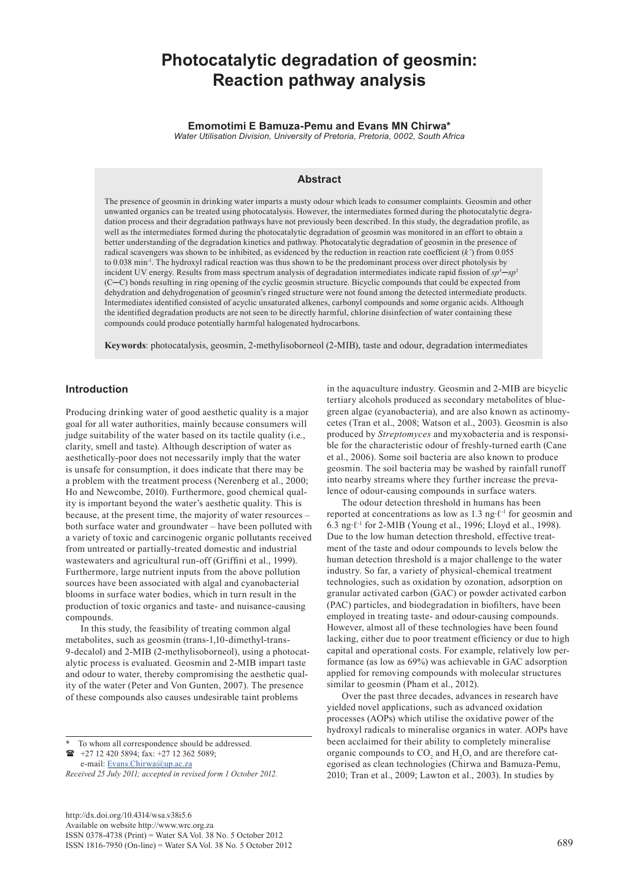# **Photocatalytic degradation of geosmin: Reaction pathway analysis**

**Emomotimi E Bamuza-Pemu and Evans MN Chirwa\***

*Water Utilisation Division, University of Pretoria, Pretoria, 0002, South Africa*

# **Abstract**

The presence of geosmin in drinking water imparts a musty odour which leads to consumer complaints. Geosmin and other unwanted organics can be treated using photocatalysis. However, the intermediates formed during the photocatalytic degradation process and their degradation pathways have not previously been described. In this study, the degradation profile, as well as the intermediates formed during the photocatalytic degradation of geosmin was monitored in an effort to obtain a better understanding of the degradation kinetics and pathway. Photocatalytic degradation of geosmin in the presence of radical scavengers was shown to be inhibited, as evidenced by the reduction in reaction rate coefficient (*k'*) from 0.055 to 0.038 min<sup>-1</sup>. The hydroxyl radical reaction was thus shown to be the predominant process over direct photolysis by incident UV energy. Results from mass spectrum analysis of degradation intermediates indicate rapid fission of *sp3*─*sp3* (C─C) bonds resulting in ring opening of the cyclic geosmin structure. Bicyclic compounds that could be expected from dehydration and dehydrogenation of geosmin's ringed structure were not found among the detected intermediate products. Intermediates identified consisted of acyclic unsaturated alkenes, carbonyl compounds and some organic acids. Although the identified degradation products are not seen to be directly harmful, chlorine disinfection of water containing these compounds could produce potentially harmful halogenated hydrocarbons.

**Keywords**: photocatalysis, geosmin, 2-methylisoborneol (2-MIB), taste and odour, degradation intermediates

# **Introduction**

Producing drinking water of good aesthetic quality is a major goal for all water authorities, mainly because consumers will judge suitability of the water based on its tactile quality (i.e., clarity, smell and taste). Although description of water as aesthetically-poor does not necessarily imply that the water is unsafe for consumption, it does indicate that there may be a problem with the treatment process (Nerenberg et al., 2000; Ho and Newcombe, 2010). Furthermore, good chemical quality is important beyond the water's aesthetic quality. This is because, at the present time, the majority of water resources – both surface water and groundwater – have been polluted with a variety of toxic and carcinogenic organic pollutants received from untreated or partially-treated domestic and industrial wastewaters and agricultural run-off (Griffini et al., 1999). Furthermore, large nutrient inputs from the above pollution sources have been associated with algal and cyanobacterial blooms in surface water bodies, which in turn result in the production of toxic organics and taste- and nuisance-causing compounds.

In this study, the feasibility of treating common algal metabolites, such as geosmin (trans-1,10-dimethyl-trans-9-decalol) and 2-MIB (2-methylisoborneol), using a photocatalytic process is evaluated. Geosmin and 2-MIB impart taste and odour to water, thereby compromising the aesthetic quality of the water (Peter and Von Gunten, 2007). The presence of these compounds also causes undesirable taint problems

To whom all correspondence should be addressed. +27 12 420 5894; fax: +27 12 362 5089; e-mail: Evans.Chirwa@up.ac.za

*Received 25 July 2011; accepted in revised form 1 October 2012.*

[http://dx.doi.org/10.4314/wsa.v38i5.6](http://dx.doi.org/10.4314/wsa.v37i4.18) Available on website http://www.wrc.org.za ISSN 0378-4738 (Print) = Water SA Vol. 38 No. 5 October 2012 ISSN 1816-7950 (On-line) = Water SA Vol. 38 No. 5 October 2012 689

in the aquaculture industry. Geosmin and 2-MIB are bicyclic tertiary alcohols produced as secondary metabolites of bluegreen algae (cyanobacteria), and are also known as actinomycetes (Tran et al., 2008; Watson et al., 2003). Geosmin is also produced by *Streptomyces* and myxobacteria and is responsible for the characteristic odour of freshly-turned earth (Cane et al., 2006). Some soil bacteria are also known to produce geosmin. The soil bacteria may be washed by rainfall runoff into nearby streams where they further increase the prevalence of odour-causing compounds in surface waters.

The odour detection threshold in humans has been reported at concentrations as low as 1.3 ng∙ℓ-1 for geosmin and 6.3 ng∙ℓ-1 for 2-MIB (Young et al., 1996; Lloyd et al., 1998). Due to the low human detection threshold, effective treatment of the taste and odour compounds to levels below the human detection threshold is a major challenge to the water industry. So far, a variety of physical-chemical treatment technologies, such as oxidation by ozonation, adsorption on granular activated carbon (GAC) or powder activated carbon (PAC) particles, and biodegradation in biofilters, have been employed in treating taste- and odour-causing compounds. However, almost all of these technologies have been found lacking, either due to poor treatment efficiency or due to high capital and operational costs. For example, relatively low performance (as low as 69%) was achievable in GAC adsorption applied for removing compounds with molecular structures similar to geosmin (Pham et al., 2012).

Over the past three decades, advances in research have yielded novel applications, such as advanced oxidation processes (AOPs) which utilise the oxidative power of the hydroxyl radicals to mineralise organics in water. AOPs have been acclaimed for their ability to completely mineralise organic compounds to  $CO_2$  and  $H_2O$ , and are therefore categorised as clean technologies (Chirwa and Bamuza-Pemu, 2010; Tran et al., 2009; Lawton et al., 2003). In studies by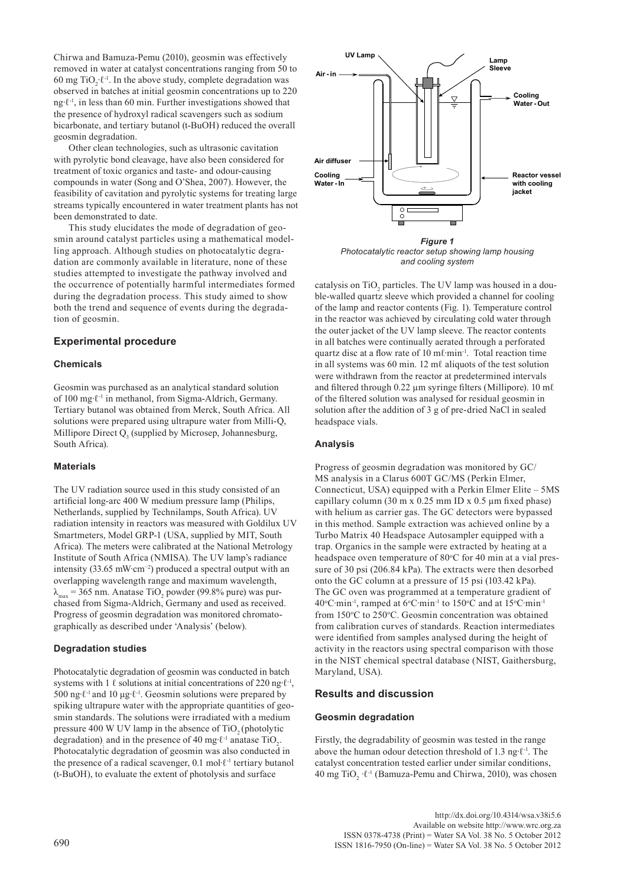Chirwa and Bamuza-Pemu (2010), geosmin was effectively removed in water at catalyst concentrations ranging from 50 to 60 mg TiO<sub>2</sub>⋅ $\ell$ <sup>-1</sup>. In the above study, complete degradation was observed in batches at initial geosmin concentrations up to 220 ng∙ℓ-1, in less than 60 min. Further investigations showed that the presence of hydroxyl radical scavengers such as sodium bicarbonate, and tertiary butanol (t-BuOH) reduced the overall geosmin degradation.

Other clean technologies, such as ultrasonic cavitation with pyrolytic bond cleavage, have also been considered for treatment of toxic organics and taste- and odour-causing compounds in water (Song and O'Shea, 2007). However, the feasibility of cavitation and pyrolytic systems for treating large streams typically encountered in water treatment plants has not been demonstrated to date.

This study elucidates the mode of degradation of geosmin around catalyst particles using a mathematical modelling approach. Although studies on photocatalytic degradation are commonly available in literature, none of these studies attempted to investigate the pathway involved and the occurrence of potentially harmful intermediates formed during the degradation process. This study aimed to show both the trend and sequence of events during the degradation of geosmin.

## **Experimental procedure**

## **Chemicals**

Geosmin was purchased as an analytical standard solution of 100 mg∙ℓ-1 in methanol, from Sigma-Aldrich, Germany. Tertiary butanol was obtained from Merck, South Africa. All solutions were prepared using ultrapure water from Milli-Q, Millipore Direct  $Q_3$  (supplied by Microsep, Johannesburg, South Africa).

## **Materials**

The UV radiation source used in this study consisted of an artificial long-arc 400 W medium pressure lamp (Philips, Netherlands, supplied by Technilamps, South Africa). UV radiation intensity in reactors was measured with Goldilux UV Smartmeters, Model GRP-1 (USA, supplied by MIT, South Africa). The meters were calibrated at the National Metrology Institute of South Africa (NMISA). The UV lamp's radiance intensity (33.65 mW∙cm−2) produced a spectral output with an overlapping wavelength range and maximum wavelength,  $\lambda_{\text{max}}$  = 365 nm. Anatase TiO<sub>2</sub> powder (99.8% pure) was purchased from Sigma-Aldrich, Germany and used as received. Progress of geosmin degradation was monitored chromatographically as described under 'Analysis' (below).

## **Degradation studies**

Photocatalytic degradation of geosmin was conducted in batch systems with 1  $\ell$  solutions at initial concentrations of 220 ng⋅ $\ell$ <sup>-1</sup>, 500 ng∙ℓ-1 and 10 μg∙ℓ-1. Geosmin solutions were prepared by spiking ultrapure water with the appropriate quantities of geosmin standards. The solutions were irradiated with a medium pressure  $400 \text{ W }$  UV lamp in the absence of TiO<sub>2</sub> (photolytic degradation) and in the presence of 40 mg⋅ $\ell$ <sup>-1</sup> anatase TiO<sub>2</sub>. Photocatalytic degradation of geosmin was also conducted in the presence of a radical scavenger, 0.1 mol∙ℓ-1 tertiary butanol (t-BuOH), to evaluate the extent of photolysis and surface



*Photocatalytic reactor setup showing lamp housing and cooling system*

catalysis on  $TiO<sub>2</sub>$  particles. The UV lamp was housed in a double-walled quartz sleeve which provided a channel for cooling of the lamp and reactor contents (Fig. 1). Temperature control in the reactor was achieved by circulating cold water through the outer jacket of the UV lamp sleeve. The reactor contents in all batches were continually aerated through a perforated quartz disc at a flow rate of 10 mℓ·min<sup>-1</sup>. Total reaction time in all systems was 60 min. 12 mℓ aliquots of the test solution were withdrawn from the reactor at predetermined intervals and filtered through 0.22 µm syringe filters (Millipore). 10 m $\ell$ of the filtered solution was analysed for residual geosmin in solution after the addition of 3 g of pre-dried NaCl in sealed headspace vials.

## **Analysis**

Progress of geosmin degradation was monitored by GC/ MS analysis in a Clarus 600T GC/MS (Perkin Elmer, Connecticut, USA) equipped with a Perkin Elmer Elite – 5MS capillary column (30 m x 0.25 mm ID x 0.5 μm fixed phase) with helium as carrier gas. The GC detectors were bypassed in this method. Sample extraction was achieved online by a Turbo Matrix 40 Headspace Autosampler equipped with a trap. Organics in the sample were extracted by heating at a headspace oven temperature of 80°C for 40 min at a vial pressure of 30 psi (206.84 kPa). The extracts were then desorbed onto the GC column at a pressure of 15 psi (103.42 kPa). The GC oven was programmed at a temperature gradient of 40°C⋅min<sup>-1</sup>, ramped at 6°C⋅min<sup>-1</sup> to 150°C and at 15°C⋅min<sup>-1</sup> from 150°C to 250°C. Geosmin concentration was obtained from calibration curves of standards. Reaction intermediates were identified from samples analysed during the height of activity in the reactors using spectral comparison with those in the NIST chemical spectral database (NIST, Gaithersburg, Maryland, USA).

## **Results and discussion**

#### **Geosmin degradation**

Firstly, the degradability of geosmin was tested in the range above the human odour detection threshold of 1.3 ng∙ℓ-1. The catalyst concentration tested earlier under similar conditions, 40 mg TiO<sub>2</sub> · $\ell$ <sup>-1</sup> (Bamuza-Pemu and Chirwa, 2010), was chosen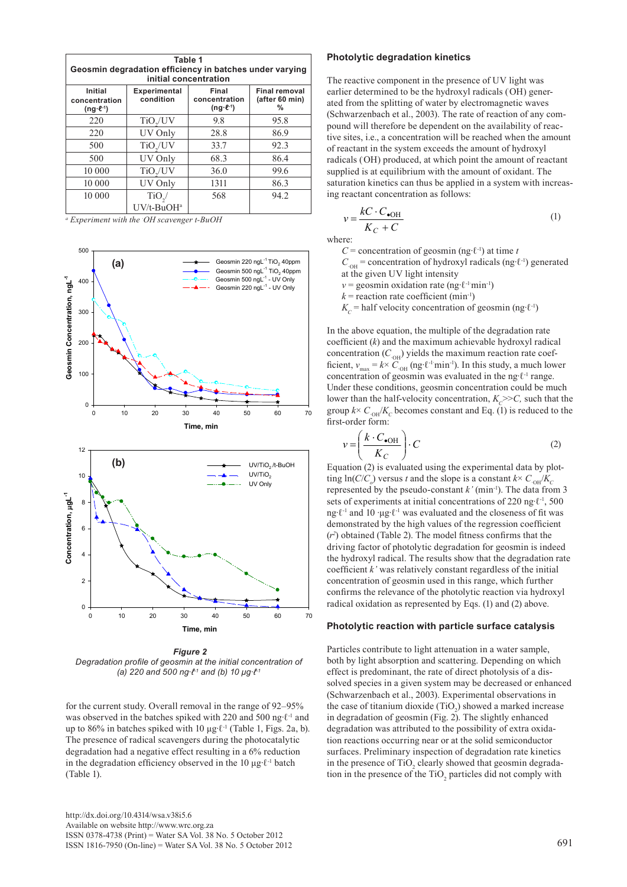| Table 1<br>Geosmin degradation efficiency in batches under varying<br>initial concentration |                                  |                                                  |                                             |  |  |  |  |  |
|---------------------------------------------------------------------------------------------|----------------------------------|--------------------------------------------------|---------------------------------------------|--|--|--|--|--|
| Initial<br>concentration<br>$(nq \cdot \ell^{-1})$                                          | <b>Experimental</b><br>condition | Final<br>concentration<br>$(ng \cdot \ell^{-1})$ | <b>Final removal</b><br>(after 60 min)<br>% |  |  |  |  |  |
| 220                                                                                         | TiO <sub>2</sub> /UV             | 9.8                                              | 95.8                                        |  |  |  |  |  |
| 220                                                                                         | UV Only                          | 28.8                                             | 86.9                                        |  |  |  |  |  |
| 500                                                                                         | TiO <sub>2</sub> /UV             | 33.7                                             | 92.3                                        |  |  |  |  |  |
| 500                                                                                         | UV Only                          | 68.3                                             | 86.4                                        |  |  |  |  |  |
| 10 000                                                                                      | $TiO_{2}/UV$                     | 36.0                                             | 99.6                                        |  |  |  |  |  |
| 10 000                                                                                      | UV Only                          | 1311                                             | 86.3                                        |  |  |  |  |  |
| 10 000                                                                                      | $TiO$ <sub>2</sub> /             | 568                                              | 94.2                                        |  |  |  |  |  |
|                                                                                             | UV/t-BuOH <sup>a</sup>           |                                                  |                                             |  |  |  |  |  |

*a Experiment with the · OH scavenger t-BuOH*



 *Figure 2 Degradation profile of geosmin at the initial concentration of (a) 220 and 500 ng∙ℓ-1 and (b) 10 μg∙ℓ-1*

for the current study. Overall removal in the range of 92–95% was observed in the batches spiked with 220 and 500 ng⋅ℓ<sup>-1</sup> and up to 86% in batches spiked with 10 μg∙ℓ-1 (Table 1, Figs. 2a, b). The presence of radical scavengers during the photocatalytic degradation had a negative effect resulting in a 6% reduction in the degradation efficiency observed in the 10 μg∙ℓ-1 batch (Table 1).

#### **Photolytic degradation kinetics**

The reactive component in the presence of UV light was earlier determined to be the hydroxyl radicals (OH) generated from the splitting of water by electromagnetic waves (Schwarzenbach et al., 2003). The rate of reaction of any compound will therefore be dependent on the availability of reactive sites, i.e., a concentration will be reached when the amount of reactant in the system exceeds the amount of hydroxyl radicals (OH) produced, at which point the amount of reactant supplied is at equilibrium with the amount of oxidant. The saturation kinetics can thus be applied in a system with increasing reactant concentration as follows:

$$
v = \frac{kC \cdot C_{\bullet \text{OH}}}{K_C + C} \tag{1}
$$

where:

*v*

*C* = concentration of geosmin (ng⋅ $l$ <sup>-1</sup>) at time *t* 

 $C<sub>OH</sub>$  = concentration of hydroxyl radicals (ng⋅ℓ<sup>-1</sup>) generated

at the given UV light intensity

*v* = geosmin oxidation rate (ng⋅ℓ<sup>-1</sup>·min<sup>-1</sup>)  $k$  = reaction rate coefficient (min<sup>-1</sup>)

 $K_c$  = half velocity concentration of geosmin (ng⋅ℓ<sup>-1</sup>)

In the above equation, the multiple of the degradation rate coefficient (*k*) and the maximum achievable hydroxyl radical concentration  $(C<sub>OH</sub>)$  yields the maximum reaction rate coefficient,  $v_{\text{max}} = k \times C_{\text{OH}}$  (ng⋅l<sup>-1</sup>⋅min<sup>-1</sup>). In this study, a much lower concentration of geosmin was evaluated in the ng⋅ℓ<sup>-1</sup> range. Under these conditions, geosmin concentration could be much lower than the half-velocity concentration,  $K_c$ >>*C*, such that the group  $k \times C_{\text{OH}}/K_c$  becomes constant and Eq. (1) is reduced to the first-order form:

$$
v = \left(\frac{k \cdot C_{\bullet \text{OH}}}{K_C}\right) \cdot C \tag{2}
$$

Equation (2) is evaluated using the experimental data by plot- $\lim_{\delta \to 0} \ln(C/C_o)$  versus *t* and the slope is a constant  $k \times C_{\text{OH}}/K_c$ represented by the pseudo-constant *k'* (min<sup>-1</sup>). The data from 3 sets of experiments at initial concentrations of 220 ng⋅ℓ<sup>-1</sup>, 500 ng∙ℓ-1 and 10 ∙μg∙ℓ-1 was evaluated and the closeness of fit was demonstrated by the high values of the regression coefficient  $(r<sup>2</sup>)$  obtained (Table 2). The model fitness confirms that the driving factor of photolytic degradation for geosmin is indeed the hydroxyl radical. The results show that the degradation rate coefficient *k'* was relatively constant regardless of the initial concentration of geosmin used in this range, which further confirms the relevance of the photolytic reaction via hydroxyl radical oxidation as represented by Eqs. (1) and (2) above.

#### **Photolytic reaction with particle surface catalysis**

Particles contribute to light attenuation in a water sample, both by light absorption and scattering. Depending on which effect is predominant, the rate of direct photolysis of a dissolved species in a given system may be decreased or enhanced (Schwarzenbach et al., 2003). Experimental observations in the case of titanium dioxide  $(TiO_2)$  showed a marked increase in degradation of geosmin (Fig. 2). The slightly enhanced degradation was attributed to the possibility of extra oxidation reactions occurring near or at the solid semiconductor surfaces. Preliminary inspection of degradation rate kinetics in the presence of  $TiO<sub>2</sub>$  clearly showed that geosmin degradation in the presence of the  $TiO<sub>2</sub>$  particles did not comply with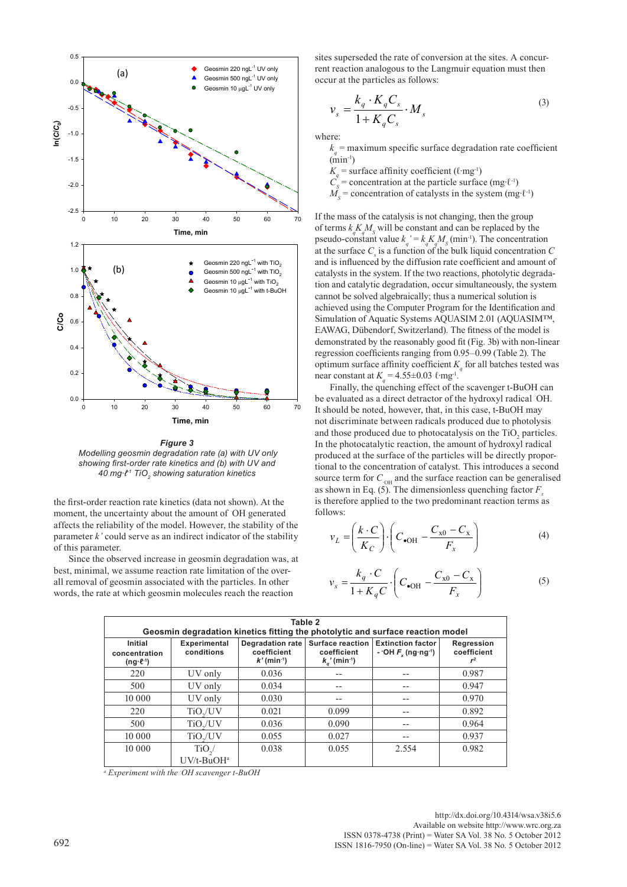

*Figure 3 Modelling geosmin degradation rate (a) with UV only showing first-order rate kinetics and (b) with UV and 40 mg∙ℓ-1 TiO2 showing saturation kinetics*

the first-order reaction rate kinetics (data not shown). At the moment, the uncertainty about the amount of OH generated affects the reliability of the model. However, the stability of the parameter *k'* could serve as an indirect indicator of the stability of this parameter.

Since the observed increase in geosmin degradation was, at best, minimal, we assume reaction rate limitation of the overall removal of geosmin associated with the particles. In other words, the rate at which geosmin molecules reach the reaction

sites superseded the rate of conversion at the sites. A concurrent reaction analogous to the Langmuir equation must then occur at the particles as follows:

$$
\nu_s = \frac{k_q \cdot K_q C_s}{1 + K_q C_s} \cdot M_s \tag{3}
$$

where:

 $k_q$  = maximum specific surface degradation rate coefficient  $(\text{min}^{-1})$ 

 $K_q$  = surface affinity coefficient ( $\ell$ ·mg<sup>-1</sup>)

- $C_{S}^{T}$ = concentration at the particle surface (mg∙ℓ-1)
- $M_s$  = concentration of catalysts in the system (mg⋅ $\ell$ <sup>-1</sup>)

If the mass of the catalysis is not changing, then the group of terms  $k_q K_q M_s$  will be constant and can be replaced by the pseudo-constant value  $k_q' = k_q K_q M_s$  (min<sup>-1</sup>). The concentration at the surface  $C_s$  is a function of the bulk liquid concentration  $C_s$ and is influenced by the diffusion rate coefficient and amount of catalysts in the system. If the two reactions, photolytic degradation and catalytic degradation, occur simultaneously, the system cannot be solved algebraically; thus a numerical solution is achieved using the Computer Program for the Identification and Simulation of Aquatic Systems AQUASIM 2.01 (AQUASIM™, EAWAG, Dübendorf, Switzerland). The fitness of the model is demonstrated by the reasonably good fit (Fig. 3b) with non-linear regression coefficients ranging from 0.95–0.99 (Table 2). The optimum surface affinity coefficient  $K_q$  for all batches tested was near constant at  $K_q = 4.55 \pm 0.03$   $\ell$ ·mg<sup>-1</sup>.

Finally, the quenching effect of the scavenger t-BuOH can be evaluated as a direct detractor of the hydroxyl radical · OH. It should be noted, however, that, in this case, t-BuOH may not discriminate between radicals produced due to photolysis and those produced due to photocatalysis on the  $TiO<sub>2</sub>$  particles. In the photocatalytic reaction, the amount of hydroxyl radical produced at the surface of the particles will be directly proportional to the concentration of catalyst. This introduces a second source term for  $C_{\text{oH}}$  and the surface reaction can be generalised as shown in Eq. (5). The dimensionless quenching factor  $F<sub>x</sub>$ is therefore applied to the two predominant reaction terms as follows:

$$
v_L = \left(\frac{k \cdot C}{K_C}\right) \cdot \left(C_{\bullet \text{OH}} - \frac{C_{\times 0} - C_{\times}}{F_{\times}}\right)
$$
(4)

$$
v_s = \frac{k_q \cdot C}{1 + K_q C} \cdot \left( C_{\bullet \text{OH}} - \frac{C_{x0} - C_x}{F_x} \right) \tag{5}
$$

| Table 2<br>Geosmin degradation kinetics fitting the photolytic and surface reaction model |                            |                                                                     |                                                                          |                                                              |                                    |  |  |  |
|-------------------------------------------------------------------------------------------|----------------------------|---------------------------------------------------------------------|--------------------------------------------------------------------------|--------------------------------------------------------------|------------------------------------|--|--|--|
| Initial<br>concentration<br>$(ng \cdot \ell^{-1})$                                        | Experimental<br>conditions | <b>Degradation rate</b><br>coefficient<br>$k'$ (min <sup>-1</sup> ) | <b>Surface reaction</b><br>coefficient<br>$k_{n}$ ' (min <sup>-1</sup> ) | <b>Extinction factor</b><br>- OH $Fx$ (ng ng <sup>-1</sup> ) | Regression<br>coefficient<br>$r^2$ |  |  |  |
| 220                                                                                       | UV only                    | 0.036                                                               |                                                                          |                                                              | 0.987                              |  |  |  |
| 500                                                                                       | UV only                    | 0.034                                                               |                                                                          |                                                              | 0.947                              |  |  |  |
| 10 000                                                                                    | UV only                    | 0.030                                                               |                                                                          |                                                              | 0.970                              |  |  |  |
| 220                                                                                       | TiO <sub>v</sub> /UV       | 0.021                                                               | 0.099                                                                    |                                                              | 0.892                              |  |  |  |
| 500                                                                                       | TiO./UV                    | 0.036                                                               | 0.090                                                                    |                                                              | 0.964                              |  |  |  |
| 10 000                                                                                    | TiO./UV                    | 0.055                                                               | 0.027                                                                    |                                                              | 0.937                              |  |  |  |
| 10 000                                                                                    | $TiO$ <sub>2</sub> /       | 0.038                                                               | 0.055                                                                    | 2.554                                                        | 0.982                              |  |  |  |
|                                                                                           | $UV/t-BuOHa$               |                                                                     |                                                                          |                                                              |                                    |  |  |  |

*a Experiment with the · OH scavenger t-BuOH*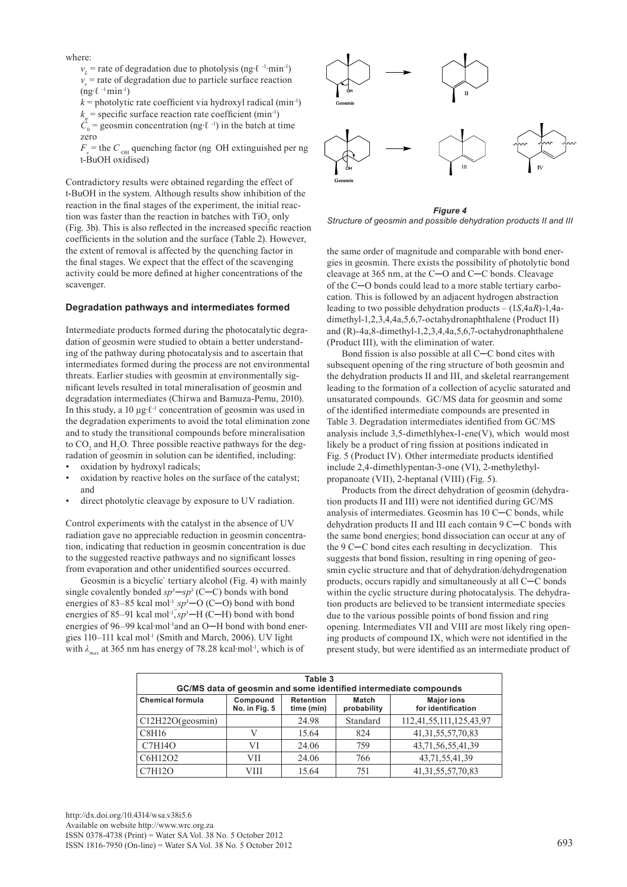where:

*v*<sub>L</sub> = rate of degradation due to photolysis (ng⋅ℓ <sup>-1</sup>⋅min<sup>-1</sup>)  $v<sub>s</sub>$  = rate of degradation due to particle surface reaction  $(ng·ℓ^{-1}min^{-1})$ 

 $k =$  photolytic rate coefficient via hydroxyl radical (min<sup>-1</sup>)

 $k_q$  = specific surface reaction rate coefficient (min<sup>-1</sup>)  $C_0$  = geosmin concentration (ng⋅ℓ<sup>-1</sup>) in the batch at time

zero

 $F_x$  = the  $C_{\text{OH}}$  quenching factor (ng  $\text{OH}$  extinguished per ng t-BuOH oxidised)

Contradictory results were obtained regarding the effect of t-BuOH in the system. Although results show inhibition of the reaction in the final stages of the experiment, the initial reaction was faster than the reaction in batches with  $TiO<sub>2</sub>$  only (Fig. 3b). This is also reflected in the increased specific reaction coefficients in the solution and the surface (Table 2). However, the extent of removal is affected by the quenching factor in the final stages. We expect that the effect of the scavenging activity could be more defined at higher concentrations of the scavenger.

#### **Degradation pathways and intermediates formed**

Intermediate products formed during the photocatalytic degradation of geosmin were studied to obtain a better understanding of the pathway during photocatalysis and to ascertain that intermediates formed during the process are not environmental threats. Earlier studies with geosmin at environmentally significant levels resulted in total mineralisation of geosmin and degradation intermediates (Chirwa and Bamuza-Pemu, 2010). In this study, a 10 μg∙ℓ-1 concentration of geosmin was used in the degradation experiments to avoid the total elimination zone and to study the transitional compounds before mineralisation to  $CO_2$  and  $H_2O$ . Three possible reactive pathways for the degradation of geosmin in solution can be identified, including:

- oxidation by hydroxyl radicals;
- oxidation by reactive holes on the surface of the catalyst; and
- direct photolytic cleavage by exposure to UV radiation.

Control experiments with the catalyst in the absence of UV radiation gave no appreciable reduction in geosmin concentration, indicating that reduction in geosmin concentration is due to the suggested reactive pathways and no significant losses from evaporation and other unidentified sources occurred.

Geosmin is a bicyclic` tertiary alcohol (Fig. 4) with mainly single covalently bonded  $sp^3$ — $sp^3$  (C—C) bonds with bond energies of 83–85 kcal mol<sup>-1</sup><sub>;</sub> $sp^3$  – O (C–O) bond with bond energies of 85–91 kcal mol<sup>-1</sup>, $s\overrightarrow{p}$ <sup>3</sup>–H (C–H) bond with bond energies of 96–99 kcal∙mol<sup>-1</sup>and an O-H bond with bond energies 110–111 kcal mol-1 (Smith and March, 2006). UV light with  $λ_{max}$  at 365 nm has energy of 78.28 kcal⋅mol<sup>-1</sup>, which is of



*Figure 4 Structure of geosmin and possible dehydration products II and III* 

the same order of magnitude and comparable with bond energies in geosmin. There exists the possibility of photolytic bond cleavage at 365 nm, at the C─O and C─C bonds. Cleavage of the C─O bonds could lead to a more stable tertiary carbocation. This is followed by an adjacent hydrogen abstraction leading to two possible dehydration products – (1*S*,4a*R*)-1,4adimethyl-1,2,3,4,4a,5,6,7-octahydronaphthalene (Product II) and (R)-4a,8-dimethyl-1,2,3,4,4a,5,6,7-octahydronaphthalene (Product III), with the elimination of water.

Bond fission is also possible at all C─C bond cites with subsequent opening of the ring structure of both geosmin and the dehydration products II and III, and skeletal rearrangement leading to the formation of a collection of acyclic saturated and unsaturated compounds. GC/MS data for geosmin and some of the identified intermediate compounds are presented in Table 3. Degradation intermediates identified from GC/MS analysis include 3,5-dimethlyhex-1-ene(V), which would most likely be a product of ring fission at positions indicated in Fig. 5 (Product IV). Other intermediate products identified include 2,4-dimethlypentan-3-one (VI), 2-methylethylpropanoate (VII), 2-heptanal (VIII) (Fig. 5).

Products from the direct dehydration of geosmin (dehydration products II and III) were not identified during GC/MS analysis of intermediates. Geosmin has 10 C─C bonds, while dehydration products II and III each contain 9 C─C bonds with the same bond energies; bond dissociation can occur at any of the 9 C─C bond cites each resulting in decyclization. This suggests that bond fission, resulting in ring opening of geosmin cyclic structure and that of dehydration/dehydrogenation products, occurs rapidly and simultaneously at all C─C bonds within the cyclic structure during photocatalysis. The dehydration products are believed to be transient intermediate species due to the various possible points of bond fission and ring opening. Intermediates VII and VIII are most likely ring opening products of compound IX, which were not identified in the present study, but were identified as an intermediate product of

| Table 3<br>GC/MS data of geosmin and some identified intermediate compounds |                           |                                |                      |                                         |  |  |  |
|-----------------------------------------------------------------------------|---------------------------|--------------------------------|----------------------|-----------------------------------------|--|--|--|
| <b>Chemical formula</b>                                                     | Compound<br>No. in Fig. 5 | <b>Retention</b><br>time (min) | Match<br>probability | <b>Major ions</b><br>for identification |  |  |  |
| $C12H22O$ (geosmin)                                                         |                           | 24.98                          | Standard             | 112,41,55,111,125,43,97                 |  |  |  |
| C8H16                                                                       | V                         | 15.64                          | 824                  | 41, 31, 55, 57, 70, 83                  |  |  |  |
| <b>C7H14O</b>                                                               | VI                        | 24.06                          | 759                  | 43,71,56,55,41,39                       |  |  |  |
| C6H12O2                                                                     | VII                       | 24.06                          | 766                  | 43,71,55,41,39                          |  |  |  |
| <b>C7H12O</b>                                                               | VIII                      | 15.64                          | 751                  | 41, 31, 55, 57, 70, 83                  |  |  |  |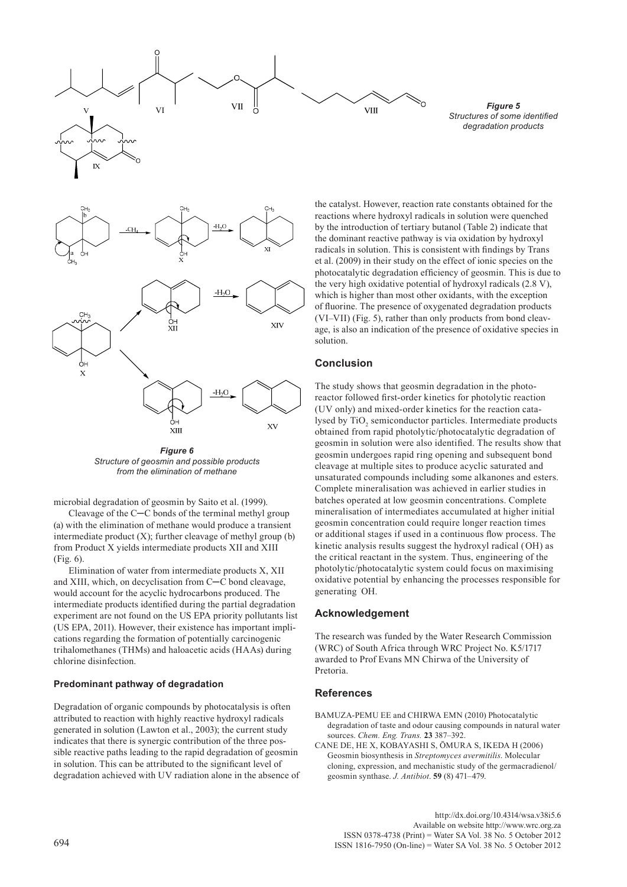

*Figure 6 Structure of geosmin and possible products from the elimination of methane* 

microbial degradation of geosmin by Saito et al. (1999).

Cleavage of the C─C bonds of the terminal methyl group (a) with the elimination of methane would produce a transient intermediate product  $(X)$ ; further cleavage of methyl group  $(b)$ from Product X yields intermediate products XII and XIII (Fig. 6).

Elimination of water from intermediate products X, XII and XIII, which, on decyclisation from C─C bond cleavage, would account for the acyclic hydrocarbons produced. The intermediate products identified during the partial degradation experiment are not found on the US EPA priority pollutants list (US EPA, 2011). However, their existence has important implications regarding the formation of potentially carcinogenic trihalomethanes (THMs) and haloacetic acids (HAAs) during chlorine disinfection.

## **Predominant pathway of degradation**

Degradation of organic compounds by photocatalysis is often attributed to reaction with highly reactive hydroxyl radicals generated in solution (Lawton et al., 2003); the current study indicates that there is synergic contribution of the three possible reactive paths leading to the rapid degradation of geosmin in solution. This can be attributed to the significant level of degradation achieved with UV radiation alone in the absence of

*Figure 5 Structures of some identified degradation products*

the catalyst. However, reaction rate constants obtained for the reactions where hydroxyl radicals in solution were quenched by the introduction of tertiary butanol (Table 2) indicate that the dominant reactive pathway is via oxidation by hydroxyl radicals in solution. This is consistent with findings by Trans et al. (2009) in their study on the effect of ionic species on the photocatalytic degradation efficiency of geosmin. This is due to the very high oxidative potential of hydroxyl radicals (2.8 V), which is higher than most other oxidants, with the exception of fluorine. The presence of oxygenated degradation products (VI–VII) (Fig. 5), rather than only products from bond cleavage, is also an indication of the presence of oxidative species in solution.

# **Conclusion**

The study shows that geosmin degradation in the photoreactor followed first-order kinetics for photolytic reaction (UV only) and mixed-order kinetics for the reaction catalysed by  $TiO<sub>2</sub>$  semiconductor particles. Intermediate products obtained from rapid photolytic/photocatalytic degradation of geosmin in solution were also identified. The results show that geosmin undergoes rapid ring opening and subsequent bond cleavage at multiple sites to produce acyclic saturated and unsaturated compounds including some alkanones and esters. Complete mineralisation was achieved in earlier studies in batches operated at low geosmin concentrations. Complete mineralisation of intermediates accumulated at higher initial geosmin concentration could require longer reaction times or additional stages if used in a continuous flow process. The kinetic analysis results suggest the hydroxyl radical (OH) as the critical reactant in the system. Thus, engineering of the photolytic/photocatalytic system could focus on maximising oxidative potential by enhancing the processes responsible for generating OH.

## **Acknowledgement**

The research was funded by the Water Research Commission (WRC) of South Africa through WRC Project No. K5/1717 awarded to Prof Evans MN Chirwa of the University of Pretoria.

## **References**

- BAMUZA-PEMU EE and CHIRWA EMN (2010) Photocatalytic degradation of taste and odour causing compounds in natural water sources. *Chem. Eng. Trans.* **23** 387–392.
- CANE DE, HE X, KOBAYASHI S, ŌMURA S, IKEDA H (2006) Geosmin biosynthesis in *Streptomyces avermitilis*. Molecular cloning, expression, and mechanistic study of the germacradienol/ geosmin synthase. *J. Antibiot*. **59** (8) 471–479.

[http://dx.doi.org/10.4314/wsa.v38i5.6](http://dx.doi.org/10.4314/wsa.v37i4.18)  Available on website http://www.wrc.org.za ISSN 0378-4738 (Print) = Water SA Vol. 38 No. 5 October 2012 694 ISSN 1816-7950 (On-line) = Water SA Vol. 38 No. 5 October 2012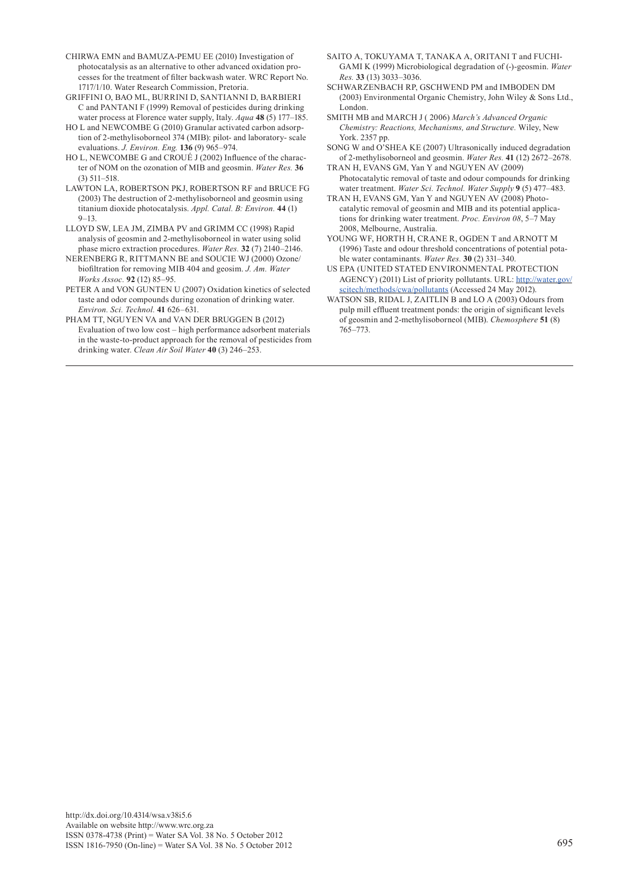- CHIRWA EMN and BAMUZA-PEMU EE (2010) Investigation of photocatalysis as an alternative to other advanced oxidation processes for the treatment of filter backwash water. WRC Report No. 1717/1/10. Water Research Commission, Pretoria.
- GRIFFINI O, BAO ML, BURRINI D, SANTIANNI D, BARBIERI C and PANTANI F (1999) Removal of pesticides during drinking water process at Florence water supply, Italy. *Aqua* **48** (5) 177–185.
- HO L and NEWCOMBE G (2010) Granular activated carbon adsorption of 2-methylisoborneol 374 (MIB): pilot- and laboratory- scale evaluations. *J. Environ. Eng.* **136** (9) 965–974.
- HO L, NEWCOMBE G and CROUÉ J (2002) Influence of the character of NOM on the ozonation of MIB and geosmin. *Water Res.* **36** (3) 511–518.
- LAWTON LA, ROBERTSON PKJ, ROBERTSON RF and BRUCE FG (2003) The destruction of 2-methylisoborneol and geosmin using titanium dioxide photocatalysis. *Appl. Catal. B: Environ.* **44** (1) 9–13.
- LLOYD SW, LEA JM, ZIMBA PV and GRIMM CC (1998) Rapid analysis of geosmin and 2-methylisoborneol in water using solid phase micro extraction procedures. *Water Res.* **32** (7) 2140–2146.
- NERENBERG R, RITTMANN BE and SOUCIE WJ (2000) Ozone/ biofiltration for removing MIB 404 and geosim. *J. Am. Water Works Assoc.* **92** (12) 85–95.
- PETER A and VON GUNTEN U (2007) Oxidation kinetics of selected taste and odor compounds during ozonation of drinking water. *Environ. Sci. Technol.* **41** 626–631.
- PHAM TT, NGUYEN VA and VAN DER BRUGGEN B (2012) Evaluation of two low cost – high performance adsorbent materials in the waste-to-product approach for the removal of pesticides from drinking water. *Clean Air Soil Water* **40** (3) 246–253.
- SAITO A, TOKUYAMA T, TANAKA A, ORITANI T and FUCHI-GAMI K (1999) Microbiological degradation of (-)-geosmin. *Water Res.* **33** (13) 3033–3036.
- SCHWARZENBACH RP, GSCHWEND PM and IMBODEN DM (2003) Environmental Organic Chemistry, John Wiley & Sons Ltd., London.
- SMITH MB and MARCH J ( 2006) *March's Advanced Organic Chemistry: Reactions, Mechanisms, and Structure.* Wiley, New York. 2357 pp.
- SONG W and O'SHEA KE (2007) Ultrasonically induced degradation of 2-methylisoborneol and geosmin. *Water Res.* **41** (12) 2672–2678.
- TRAN H, EVANS GM, Yan Y and NGUYEN AV (2009) Photocatalytic removal of taste and odour compounds for drinking water treatment. *Water Sci. Technol. Water Supply* **9** (5) 477–483.
- TRAN H, EVANS GM, Yan Y and NGUYEN AV (2008) Photocatalytic removal of geosmin and MIB and its potential applications for drinking water treatment. *Proc. Environ 08*, 5–7 May 2008, Melbourne, Australia.
- YOUNG WF, HORTH H, CRANE R, OGDEN T and ARNOTT M (1996) Taste and odour threshold concentrations of potential potable water contaminants. *Water Res.* **30** (2) 331–340.
- US EPA (UNITED STATED ENVIRONMENTAL PROTECTION AGENCY) (2011) List of priority pollutants. URL: [http://water.gov/](http://water.gov/scitech/methods/cwa/pollutants) [scitech/methods/cwa/pollutants](http://water.gov/scitech/methods/cwa/pollutants) (Accessed 24 May 2012).
- WATSON SB, RIDAL J, ZAITLIN B and LO A (2003) Odours from pulp mill effluent treatment ponds: the origin of significant levels of geosmin and 2-methylisoborneol (MIB). *Chemosphere* **51** (8) 765–773.